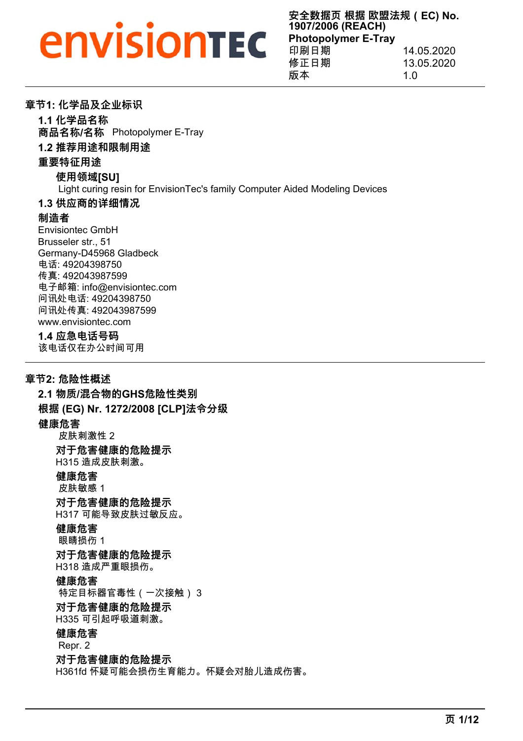## *<u>EnvisionTEC</u>*

**安全数据页 根据 欧盟法规(EC) No. 1907/2006 (REACH) Photopolymer E-Tray** 印刷日期 14.05.2020 修正日期 13.05.2020 版本 1.0

#### **章节1: 化学品及企业标识**

**1.1 化学品名称**

**商品名称/名称** Photopolymer E-Tray

#### **1.2 推荐用途和限制用途**

#### **重要特征用途**

#### **使用领域[SU]**

Light curing resin for EnvisionTec's family Computer Aided Modeling Devices

#### **1.3 供应商的详细情况**

#### **制造者**

Envisiontec GmbH Brusseler str., 51 Germany-D45968 Gladbeck 电话: 49204398750 传真: 492043987599 电子邮箱: info@envisiontec.com 问讯处电话: 49204398750 问讯处传真: 492043987599 www.envisiontec.com

#### **1.4 应急电话号码**

该电话仅在办公时间可用

#### **章节2: 危险性概述**

**2.1 物质/混合物的GHS危险性类别 根据 (EG) Nr. 1272/2008 [CLP]法令分级 健康危害** 皮肤刺激性 2 **对于危害健康的危险提示** H315 造成皮肤刺激。 **健康危害** 皮肤敏感 1 **对于危害健康的危险提示** H317 可能导致皮肤过敏反应。 **健康危害** 眼睛损伤 1 **对于危害健康的危险提示** H318 造成严重眼损伤。 **健康危害** 特定目标器官毒性(一次接触) 3 **对于危害健康的危险提示** H335 可引起呼吸道刺激。 **健康危害** Repr. 2 **对于危害健康的危险提示** H361fd 怀疑可能会损伤生育能力。怀疑会对胎儿造成伤害。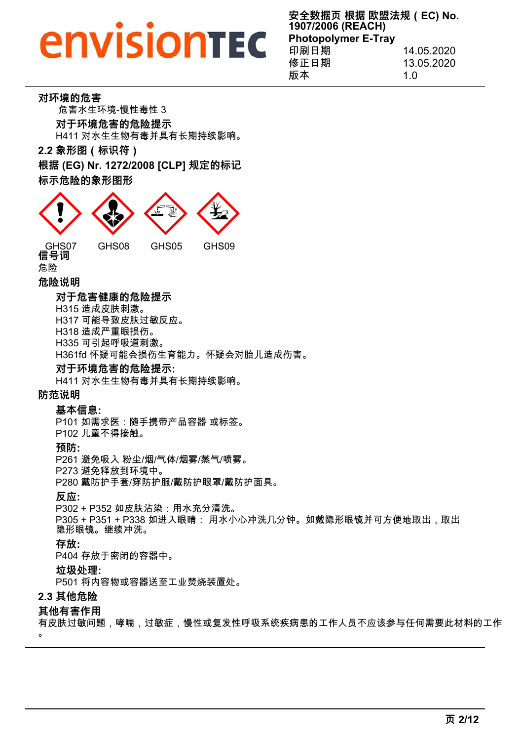**安全数据页 根据 欧盟法规(EC) No. 1907/2006 (REACH) Photopolymer E-Tray** 印刷日期 14.05.2020 修正日期 13.05.2020 版本 1.0

#### **对环境的危害**

危害水生环境-慢性毒性 3 **对于环境危害的危险提示** H411 对水生生物有毒并具有长期持续影响。

**2.2 象形图(标识符)**

**根据 (EG) Nr. 1272/2008 [CLP] 规定的标记 标示危险的象形图形**



危险

#### **危险说明**

#### **对于危害健康的危险提示**

H315 造成皮肤刺激。

H317 可能导致皮肤过敏反应。

- H318 造成严重眼损伤。
- H335 可引起呼吸道刺激。

H361fd 怀疑可能会损伤生育能力。怀疑会对胎儿造成伤害。

#### **对于环境危害的危险提示:**

H411 对水生生物有毒并具有长期持续影响。

#### **防范说明**

#### **基本信息:**

P101 如需求医:随手携带产品容器 或标签。 P102 儿童不得接触。

#### **预防:**

P261 避免吸入 粉尘/烟/气体/烟雾/蒸气/喷雾。

P273 避免释放到环境中。

P280 戴防护手套/穿防护服/戴防护眼罩/戴防护面具。

**反应:**

P302 + P352 如皮肤沾染:用水充分清洗。

P305 + P351 + P338 如进入眼睛: 用水小心冲洗几分钟。如戴隐形眼镜并可方便地取出,取出 隐形眼镜。继续冲洗。

#### **存放:**

P404 存放于密闭的容器中。

#### **垃圾处理:**

P501 将内容物或容器送至工业焚烧装置处。

#### **2.3 其他危险**

#### **其他有害作用**

有皮肤过敏问题,哮喘,过敏症,慢性或复发性呼吸系统疾病患的工作人员不应该参与任何需要此材料的工作

 $\Omega$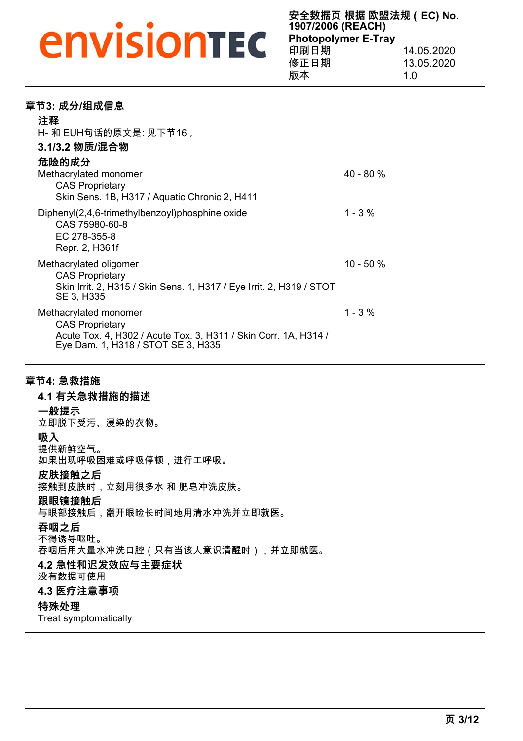**安全数据页 根据 欧盟法规(EC) No. 1907/2006 (REACH) Photopolymer E-Tray** 印刷日期 14.05.2020 修正日期 13.05.2020

版本 1.0

| 章节3: 成分/组成信息                                                                                                                                             |              |
|----------------------------------------------------------------------------------------------------------------------------------------------------------|--------------|
| 注释                                                                                                                                                       |              |
| H- 和 EUH句话的原文是: 见下节16 。                                                                                                                                  |              |
| 3.1/3.2 物质/混合物                                                                                                                                           |              |
| 危险的成分                                                                                                                                                    |              |
| Methacrylated monomer                                                                                                                                    | 40 - 80 %    |
| <b>CAS Proprietary</b><br>Skin Sens. 1B, H317 / Aquatic Chronic 2, H411                                                                                  |              |
| Diphenyl(2,4,6-trimethylbenzoyl)phosphine oxide<br>CAS 75980-60-8<br>EC 278-355-8<br>Repr. 2, H361f                                                      | $1 - 3 \%$   |
| Methacrylated oligomer<br><b>CAS Proprietary</b><br>Skin Irrit. 2, H315 / Skin Sens. 1, H317 / Eye Irrit. 2, H319 / STOT<br>SE 3, H335                   | $10 - 50 \%$ |
| Methacrylated monomer<br><b>CAS Proprietary</b><br>Acute Tox. 4, H302 / Acute Tox. 3, H311 / Skin Corr. 1A, H314 /<br>Eye Dam. 1, H318 / STOT SE 3, H335 | $1 - 3 \%$   |

#### **章节4: 急救措施**

### **4.1 有关急救措施的描述 一般提示** 立即脱下受污、浸染的衣物。 **吸入**

提供新鲜空气。 如果出现呼吸困难或呼吸停顿,进行工呼吸。

#### **皮肤接触之后**

接触到皮肤时,立刻用很多水 和 肥皂冲洗皮肤。

#### **跟眼镜接触后**

与眼部接触后,翻开眼睑长时间地用清水冲洗并立即就医。

#### **吞咽之后**

不得诱导呕吐。

吞咽后用大量水冲洗口腔(只有当该人意识清醒时),并立即就医。

#### **4.2 急性和迟发效应与主要症状**

没有数据可使用

#### **4.3 医疗注意事项**

#### **特殊处理**

Treat symptomatically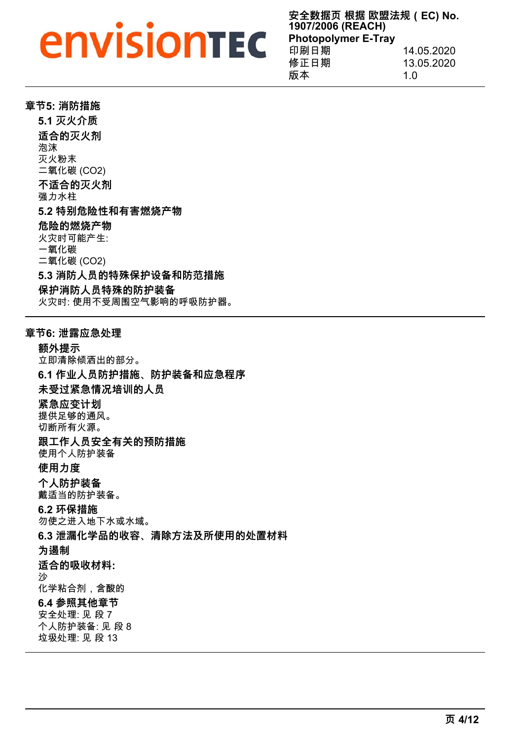## *<u>Envisiontec</u>*

**安全数据页 根据 欧盟法规(EC) No. 1907/2006 (REACH) Photopolymer E-Tray** 印刷日期 14.05.2020 修正日期 13.05.2020

版本 1.0

|  |  | 章节5: 消防措施 |  |
|--|--|-----------|--|
|--|--|-----------|--|

**5.1 灭火介质 适合的灭火剂** 泡沫 灭火粉末 二氧化碳 (CO2) **不适合的灭火剂** 强力水柱 **5.2 特别危险性和有害燃烧产物 危险的燃烧产物** 火灾时可能产生: 一氧化碳 二氧化碳 (CO2) **5.3 消防人员的特殊保护设备和防范措施 保护消防人员特殊的防护装备** 火灾时: 使用不受周围空气影响的呼吸防护器。

#### **章节6: 泄露应急处理**

**额外提示** 立即清除倾洒出的部分。 **6.1 作业人员防护措施、防护装备和应急程序 未受过紧急情况培训的人员 紧急应变计划** 提供足够的通风。 切断所有火源。 **跟工作人员安全有关的预防措施** 使用个人防护装备 **使用力度 个人防护装备** 戴适当的防护装备。 **6.2 环保措施** 勿使之进入地下水或水域。 **6.3 泄漏化学品的收容、清除方法及所使用的处置材料 为遏制 适合的吸收材料:** 沙 化学粘合剂,含酸的 **6.4 参照其他章节** 安全处理: 见 段 7 个人防护装备: 见 段 8 垃圾处理: 见 段 13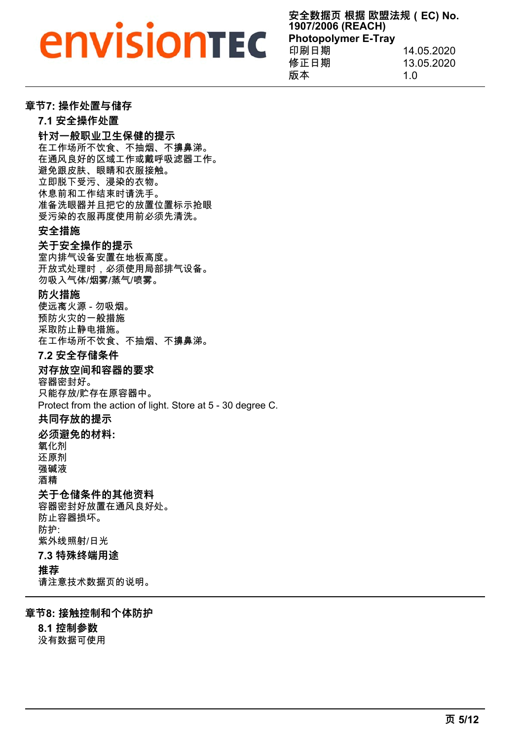## *<u>Envisiontec</u>*

**安全数据页 根据 欧盟法规(EC) No. 1907/2006 (REACH) Photopolymer E-Tray**  $\frac{1}{2}$  14.05.2020

| FP #P H ZYJ | 17.VJ.ZUZU |
|-------------|------------|
| 修正日期        | 13.05.2020 |
| 版本          | 1 O        |

#### **章节7: 操作处置与储存**

**7.1 安全操作处置**

**针对一般职业卫生保健的提示**

在工作场所不饮食、不抽烟、不擤鼻涕。 在通风良好的区域工作或戴呼吸滤器工作。

避免跟皮肤、眼睛和衣服接触。

立即脱下受污、浸染的衣物。

休息前和工作结束时请洗手。

准备洗眼器并且把它的放置位置标示抢眼

受污染的衣服再度使用前必须先清洗。

#### **安全措施**

#### **关于安全操作的提示**

室内排气设备安置在地板高度。 开放式处理时,必须使用局部排气设备。 勿吸入气体/烟雾/蒸气/喷雾。

#### **防火措施**

使远离火源 - 勿吸烟。 预防火灾的一般措施 采取防止静电措施。 在工作场所不饮食、不抽烟、不擤鼻涕。

#### **7.2 安全存储条件**

#### **对存放空间和容器的要求**

容器密封好。 只能存放/贮存在原容器中。 Protect from the action of light. Store at 5 - 30 degree C.

#### **共同存放的提示**

#### **必须避免的材料:**

氧化剂 还原剂

强碱液

酒精

#### **关于仓储条件的其他资料**

容器密封好放置在通风良好处。 防止容器损坏。 防护: 紫外线照射/日光

#### **7.3 特殊终端用途**

#### **推荐**

请注意技术数据页的说明。

#### **章节8: 接触控制和个体防护**

**8.1 控制参数** 没有数据可使用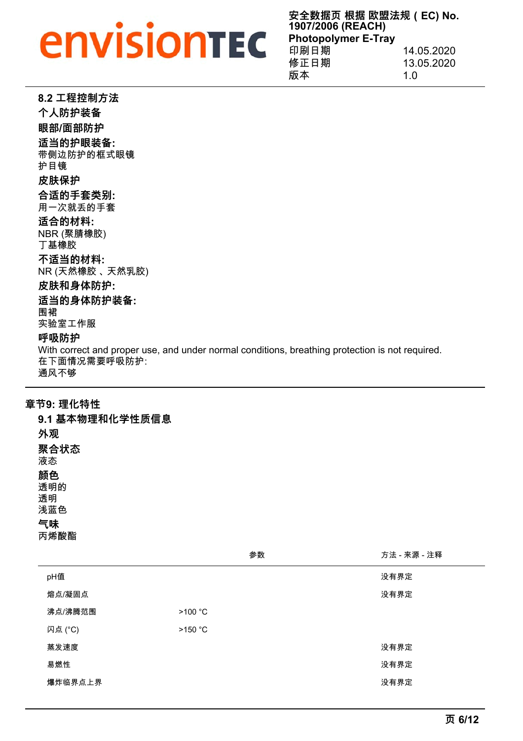**安全数据页 根据 欧盟法规(EC) No. 1907/2006 (REACH) Photopolymer E-Tray** 印刷日期 14.05.2020 修正日期 13.05.2020

protection is not required.

————————————————————<br>版本 1.0

| 8.2 工程控制方法                                                                                  |
|---------------------------------------------------------------------------------------------|
| 个人防护装备                                                                                      |
| 眼部/面部防护                                                                                     |
| 适当的护眼装备:<br>带侧边防护的框式眼镜<br>护目镜                                                               |
| 皮肤保护                                                                                        |
| 合适的手套类别:<br>用一次就丢的手套                                                                        |
| 适合的材料:<br>NBR (聚腈橡胶)<br>丅基橡胶                                                                |
| 不适当的材料:<br>NR (天然橡胶 、天然乳胶)                                                                  |
| 皮肤和身体防护:                                                                                    |
| 适当的身体防护装备:<br>围裙<br>实验室工作服                                                                  |
| 呼吸防护                                                                                        |
| With correct and proper use, and under normal conditions, breathing<br>在下面情况需要呼吸防护:<br>通风不够 |

**章节9: 理化特性**

| 9.1 基本物理和化学性质信息        |
|------------------------|
| 外观                     |
| 聚合状态<br>液杰             |
| 颜色<br>透明的<br>透明<br>浅蓝色 |
| 气味<br>丙烯酸酯             |

|         | 参数      | 方法 - 来源 - 注释 |
|---------|---------|--------------|
| pH值     |         | 没有界定         |
| 熔点/凝固点  |         | 没有界定         |
| 沸点/沸腾范围 | >100 °C |              |
| 闪点 (°C) | >150 °C |              |
| 蒸发速度    |         | 没有界定         |
| 易燃性     |         | 没有界定         |
| 爆炸临界点上界 |         | 没有界定         |
|         |         |              |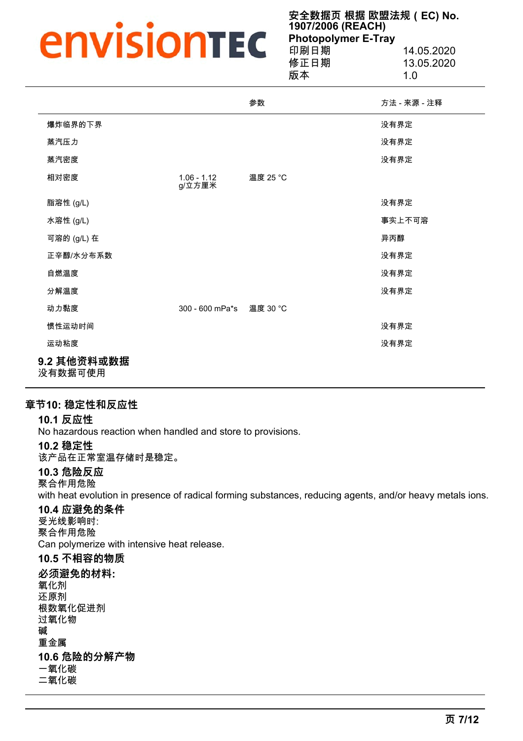**安全数据页 根据 欧盟法规(EC) No. 1907/2006 (REACH) Photopolymer E-Tray** 印刷日期 14.05.2020

版本 1.0

13.05.2020

|             |                          | 参数       | 方法 - 来源 - 注释 |
|-------------|--------------------------|----------|--------------|
| 爆炸临界的下界     |                          |          | 没有界定         |
| 蒸汽压力        |                          |          | 没有界定         |
| 蒸汽密度        |                          |          | 没有界定         |
| 相对密度        | $1.06 - 1.12$<br>g/立方厘米  | 温度 25 °C |              |
| 脂溶性 (g/L)   |                          |          | 没有界定         |
| 水溶性 (g/L)   |                          |          | 事实上不可溶       |
| 可溶的 (g/L) 在 |                          |          | 异丙醇          |
| 正辛醇/水分布系数   |                          |          | 没有界定         |
| 自燃温度        |                          |          | 没有界定         |
| 分解温度        |                          |          | 没有界定         |
| 动力黏度        | 300 - 600 mPa*s 温度 30 °C |          |              |
| 惯性运动时间      |                          |          | 没有界定         |
| 运动粘度        |                          |          | 没有界定         |
| 9.2 其他资料或数据 |                          |          |              |

没有数据可使用

#### **章节10: 稳定性和反应性**

#### **10.1 反应性**

No hazardous reaction when handled and store to provisions.

#### **10.2 稳定性**

该产品在正常室温存储时是稳定。

#### **10.3 危险反应**

聚合作用危险

with heat evolution in presence of radical forming substances, reducing agents, and/or heavy metals ions.

### **10.4 应避免的条件**

受光线影响时: 聚合作用危险 Can polymerize with intensive heat release.

### **10.5 不相容的物质**

**必须避免的材料:** 氧化剂 还原剂 根数氧化促进剂 过氧化物 碱 重金属 **10.6 危险的分解产物**

一氧化碳 二氧化碳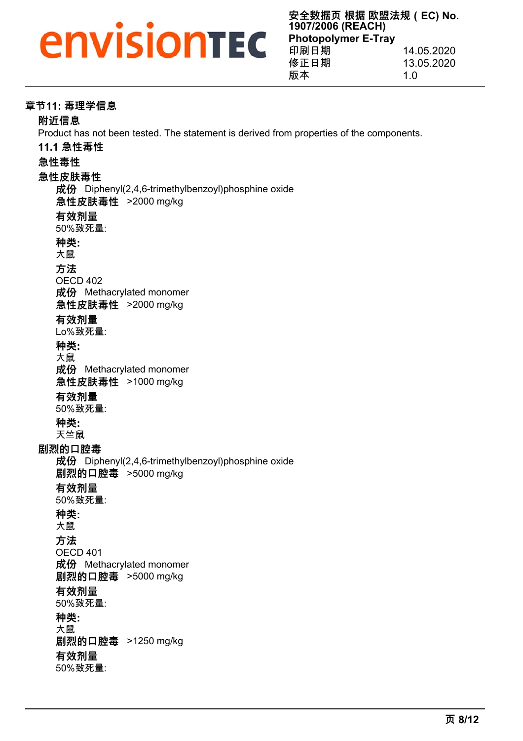# *<u>Envisionted</u>*

**安全数据页 根据 欧盟法规(EC) No. 1907/2006 (REACH) Photopolymer E-Tray** 印刷日期 14.05.2020 修正日期 13.05.2020 版本 1.0

#### **章节11: 毒理学信息**

#### **附近信息**

Product has not been tested. The statement is derived from properties of the components.

**11.1 急性毒性**

#### **急性毒性**

#### **急性皮肤毒性**

**成份** Diphenyl(2,4,6-trimethylbenzoyl)phosphine oxide

**急性皮肤毒性** >2000 mg/kg

**有效剂量**

50%致死量:

**种类:**

大鼠

**方法**

OECD 402 **成份** Methacrylated monomer

**急性皮肤毒性** >2000 mg/kg

#### **有效剂量**

Lo%致死量:

**种类:**

大鼠

**成份** Methacrylated monomer

**急性皮肤毒性** >1000 mg/kg

#### **有效剂量**

50%致死量:

#### **种类:**

天竺鼠

#### **剧烈的口腔毒**

**成份** Diphenyl(2,4,6-trimethylbenzoyl)phosphine oxide

**剧烈的口腔毒** >5000 mg/kg

#### **有效剂量**

50%致死量:

#### **种类:**

大鼠

**方法**

OECD 401

**成份** Methacrylated monomer **剧烈的口腔毒** >5000 mg/kg

#### **有效剂量**

50%致死量:

#### **种类:**

大鼠

**剧烈的口腔毒** >1250 mg/kg

#### **有效剂量**

50%致死量: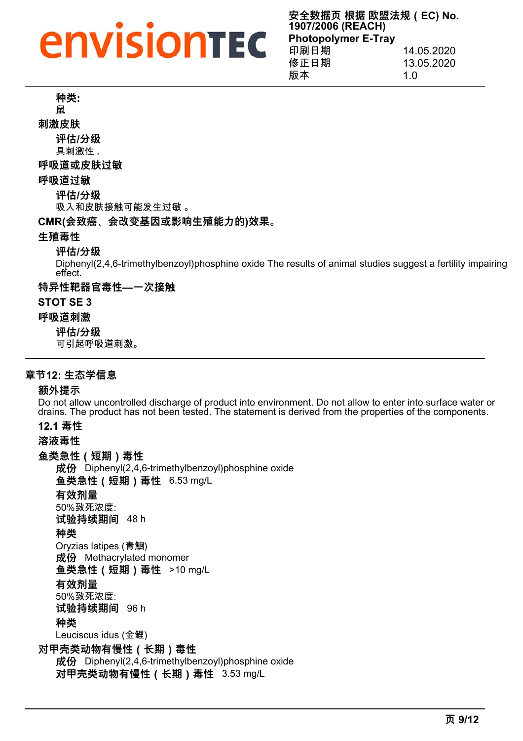## **envisiontec**

**安全数据页 根据 欧盟法规(EC) No. 1907/2006 (REACH) Photopolymer E-Tray** 印刷日期 14.05.2020 修正日期 13.05.2020

版本 1.0

**种类:**

鼠

**刺激皮肤**

**评估/分级** 具刺激性 。

#### **呼吸道或皮肤过敏**

**呼吸道过敏**

**评估/分级**

吸入和皮肤接触可能发生过敏 。

#### **CMR(会致癌、会改变基因或影响生殖能力的)效果。**

#### **生殖毒性**

#### **评估/分级**

Diphenyl(2,4,6-trimethylbenzoyl)phosphine oxide The results of animal studies suggest a fertility impairing effect.

**特异性靶器官毒性—一次接触**

#### **STOT SE 3**

#### **呼吸道刺激**

**评估/分级**

可引起呼吸道刺激。

#### **章节12: 生态学信息**

#### **额外提示**

Do not allow uncontrolled discharge of product into environment. Do not allow to enter into surface water or drains. The product has not been tested. The statement is derived from the properties of the components.

#### **12.1 毒性**

**溶液毒性**

**鱼类急性(短期)毒性**

**成份** Diphenyl(2,4,6-trimethylbenzoyl)phosphine oxide **鱼类急性(短期)毒性** 6.53 mg/L

**有效剂量**

50%致死浓度:

**试验持续期间** 48 h

#### **种类**

Oryzias latipes (青鮰) **成份** Methacrylated monomer

**鱼类急性(短期)毒性** >10 mg/L

#### **有效剂量**

50%致死浓度:

**试验持续期间** 96 h

#### **种类**

Leuciscus idus (金鲤)

**对甲壳类动物有慢性(长期)毒性**

**成份** Diphenyl(2,4,6-trimethylbenzoyl)phosphine oxide **对甲壳类动物有慢性(长期)毒性** 3.53 mg/L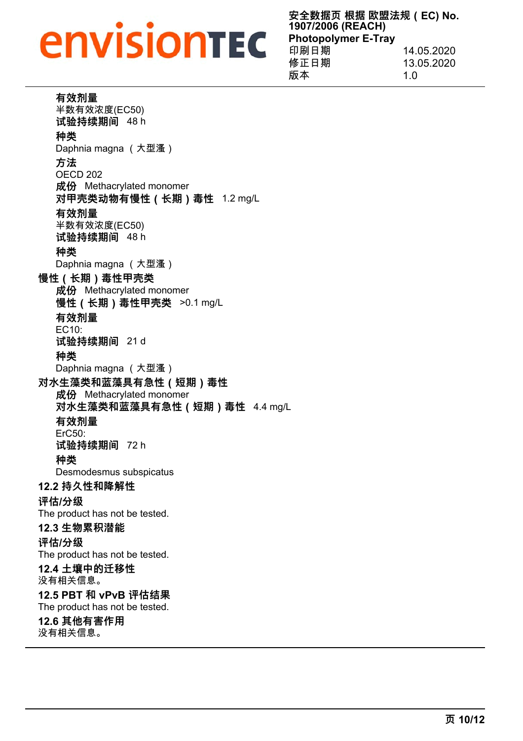## **envisiontec**

**安全数据页 根据 欧盟法规(EC) No. 1907/2006 (REACH) Photopolymer E-Tray** 印刷日期 14.05.2020 修正日期 13.05.2020 版本 1.0

|  | 有效剂量 |  |  |
|--|------|--|--|
|--|------|--|--|

半数有效浓度(EC50) **试验持续期间** 48 h

### **种类**

Daphnia magna (大型溞)

#### **方法**

OECD 202 **成份** Methacrylated monomer **对甲壳类动物有慢性(长期)毒性** 1.2 mg/L

#### **有效剂量**

半数有效浓度(EC50) **试验持续期间** 48 h

#### **种类**

Daphnia magna (大型溞)

#### **慢性(长期)毒性甲壳类**

**成份** Methacrylated monomer **慢性(长期)毒性甲壳类** >0.1 mg/L **有效剂量** EC10: **试验持续期间** 21 d

#### **种类**

Daphnia magna (大型溞)

**对水生藻类和蓝藻具有急性(短期)毒性**

**成份** Methacrylated monomer

**对水生藻类和蓝藻具有急性(短期)毒性** 4.4 mg/L

#### **有效剂量**

ErC50: **试验持续期间** 72 h

### **种类**

Desmodesmus subspicatus

#### **12.2 持久性和降解性**

**评估/分级**

The product has not be tested.

#### **12.3 生物累积潜能**

#### **评估/分级**

The product has not be tested.

## **12.4 土壤中的迁移性**

没有相关信息。

### **12.5 PBT 和 vPvB 评估结果**

The product has not be tested.

### **12.6 其他有害作用**

没有相关信息。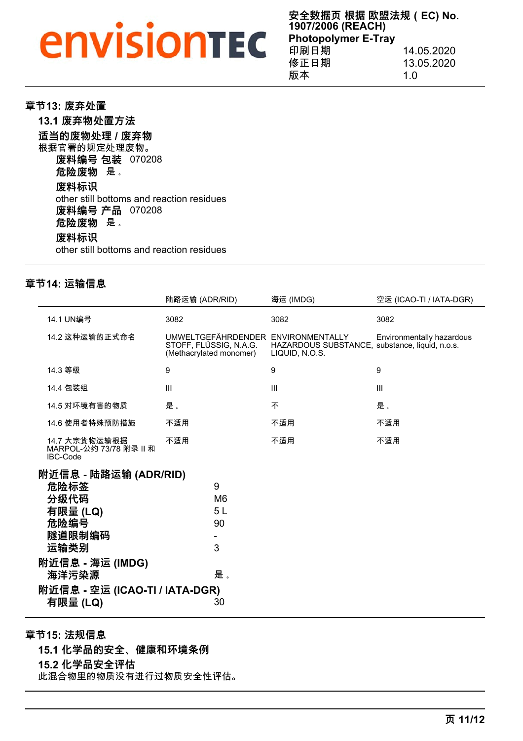# *<u>Envisiontec</u>*

**安全数据页 根据 欧盟法规(EC) No. 1907/2006 (REACH) Photopolymer E-Tray**<br>印刷日期 14.05.2020

| 修正日期 | 13.05.2020 |
|------|------------|
| 版本   | 1.0        |

**章节13: 废弃处置 13.1 废弃物处置方法 适当的废物处理 / 废弃物** 根据官署的规定处理废物。 **废料编号 包装** 070208 **危险废物** 是 。 **废料标识** other still bottoms and reaction residues **废料编号 产品** 070208 **危险废物** 是 。 **废料标识** other still bottoms and reaction residues

#### **章节14: 运输信息**

|                                                                             | 陆路运输 (ADR/RID)                                                                          | 海运 (IMDG)                                                        | 空运 (ICAO-TI / IATA-DGR)   |
|-----------------------------------------------------------------------------|-----------------------------------------------------------------------------------------|------------------------------------------------------------------|---------------------------|
| 14.1 UN编号                                                                   | 3082                                                                                    | 3082                                                             | 3082                      |
| 14.2 这种运输的正式命名                                                              | UMWELTGEFÄHRDENDER ENVIRONMENTALLY<br>STOFF, FLÜSSIG, N.A.G.<br>(Methacrylated monomer) | HAZARDOUS SUBSTANCE, substance, liquid, n.o.s.<br>LIQUID, N.O.S. | Environmentally hazardous |
| 14.3 等级                                                                     | 9                                                                                       | 9                                                                | 9                         |
| 14.4 包装组                                                                    | III                                                                                     | III                                                              | $\mathbf{III}$            |
| 14.5 对环境有害的物质                                                               | 是。                                                                                      | 不                                                                | 是。                        |
| 14.6 使用者特殊预防措施                                                              | 不适用                                                                                     | 不适用                                                              | 不适用                       |
| 14.7 大宗货物运输根据<br>MARPOL-公约 73/78 附录 II 和<br>IBC-Code                        | 不适用                                                                                     | 不适用                                                              | 不适用                       |
| 附近信息 - 陆路运输 (ADR/RID)<br>危险标签<br>分级代码<br>有限量 (LQ)<br>危险编号<br>隧道限制编码<br>运输类别 | 9<br>M <sub>6</sub><br>5 L<br>90<br>3                                                   |                                                                  |                           |
| 附近信息 - 海运 (IMDG)<br>海洋污染源                                                   | 是。                                                                                      |                                                                  |                           |
| 附近信息 - 空运 (ICAO-TI / IATA-DGR)<br>有限量 (LQ)                                  | 30                                                                                      |                                                                  |                           |

**章节15: 法规信息 15.1 化学品的安全、健康和环境条例**

**15.2 化学品安全评估**

此混合物里的物质没有进行过物质安全性评估。